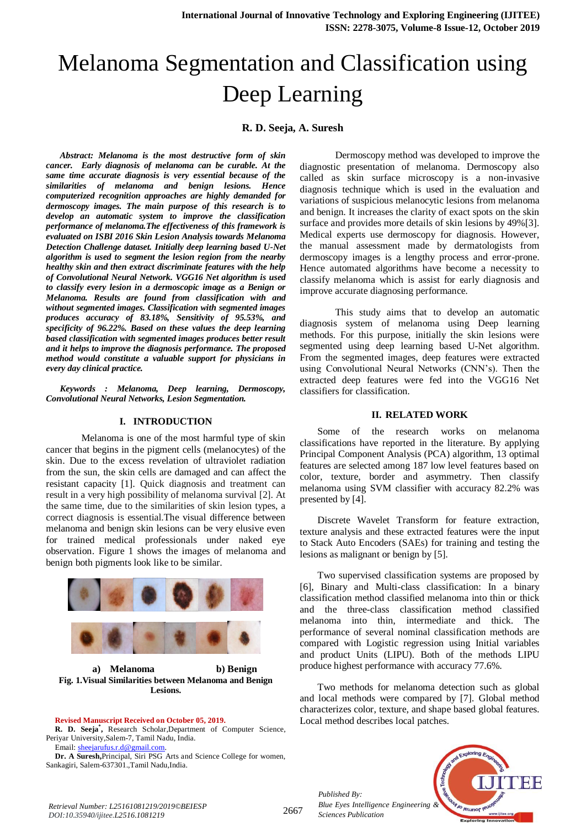# Melanoma Segmentation and Classification using Deep Learning

# **R. D. Seeja, A. Suresh**

*Abstract: Melanoma is the most destructive form of skin cancer. Early diagnosis of melanoma can be curable. At the same time accurate diagnosis is very essential because of the similarities of melanoma and benign lesions. Hence computerized recognition approaches are highly demanded for dermoscopy images. The main purpose of this research is to develop an automatic system to improve the classification performance of melanoma.The effectiveness of this framework is evaluated on ISBI 2016 Skin Lesion Analysis towards Melanoma Detection Challenge dataset. Initially deep learning based U-Net algorithm is used to segment the lesion region from the nearby healthy skin and then extract discriminate features with the help of Convolutional Neural Network. VGG16 Net algorithm is used to classify every lesion in a dermoscopic image as a Benign or Melanoma. Results are found from classification with and without segmented images. Classification with segmented images produces accuracy of 83.18%, Sensitivity of 95.53%, and specificity of 96.22%. Based on these values the deep learning based classification with segmented images produces better result and it helps to improve the diagnosis performance. The proposed method would constitute a valuable support for physicians in every day clinical practice.*

*Keywords : Melanoma, Deep learning, Dermoscopy, Convolutional Neural Networks, Lesion Segmentation.* 

#### **I. INTRODUCTION**

Melanoma is one of the most harmful type of skin cancer that begins in the pigment cells (melanocytes) of the skin. Due to the excess revelation of ultraviolet radiation from the sun, the skin cells are damaged and can affect the resistant capacity [1]. Quick diagnosis and treatment can result in a very high possibility of melanoma survival [2]. At the same time, due to the similarities of skin lesion types, a correct diagnosis is essential.The visual difference between melanoma and benign skin lesions can be very elusive even for trained medical professionals under naked eye observation. Figure 1 shows the images of melanoma and benign both pigments look like to be similar.



**a) Melanoma b) Benign Fig. 1.Visual Similarities between Melanoma and Benign Lesions.**

#### **Revised Manuscript Received on October 05, 2019.**

**R. D. Seeja\* ,** Research Scholar,Department of Computer Science, Periyar University,Salem-7, Tamil Nadu, India. Email[: sheejarufus.r.d@gmail.com.](mailto:sheejarufus.r.d@gmail.com)

**Dr. A Suresh,**Principal, Siri PSG Arts and Science College for women, Sankagiri, Salem-637301.,Tamil Nadu,India.

Dermoscopy method was developed to improve the diagnostic presentation of melanoma. Dermoscopy also called as skin surface microscopy is a non-invasive diagnosis technique which is used in the evaluation and variations of suspicious melanocytic lesions from melanoma and benign. It increases the clarity of exact spots on the skin surface and provides more details of skin lesions by 49%[3]. Medical experts use dermoscopy for diagnosis. However, the manual assessment made by dermatologists from dermoscopy images is a lengthy process and error-prone. Hence automated algorithms have become a necessity to classify melanoma which is assist for early diagnosis and improve accurate diagnosing performance.

This study aims that to develop an automatic diagnosis system of melanoma using Deep learning methods. For this purpose, initially the skin lesions were segmented using deep learning based U-Net algorithm. From the segmented images, deep features were extracted using Convolutional Neural Networks (CNN's). Then the extracted deep features were fed into the VGG16 Net classifiers for classification.

#### **II. RELATED WORK**

Some of the research works on melanoma classifications have reported in the literature. By applying Principal Component Analysis (PCA) algorithm, 13 optimal features are selected among 187 low level features based on color, texture, border and asymmetry. Then classify melanoma using SVM classifier with accuracy 82.2% was presented by [4].

Discrete Wavelet Transform for feature extraction, texture analysis and these extracted features were the input to Stack Auto Encoders (SAEs) for training and testing the lesions as malignant or benign by [5].

Two supervised classification systems are proposed by [6], Binary and Multi-class classification: In a binary classification method classified melanoma into thin or thick and the three-class classification method classified melanoma into thin, intermediate and thick. The performance of several nominal classification methods are compared with Logistic regression using Initial variables and product Units (LIPU). Both of the methods LIPU produce highest performance with accuracy 77.6%.

Two methods for melanoma detection such as global and local methods were compared by [7]. Global method characterizes color, texture, and shape based global features. Local method describes local patches.

*Published By: Blue Eyes Intelligence Engineering & Sciences Publication* 



*Retrieval Number: L25161081219/2019©BEIESP DOI:10.35940/ijitee.L2516.1081219*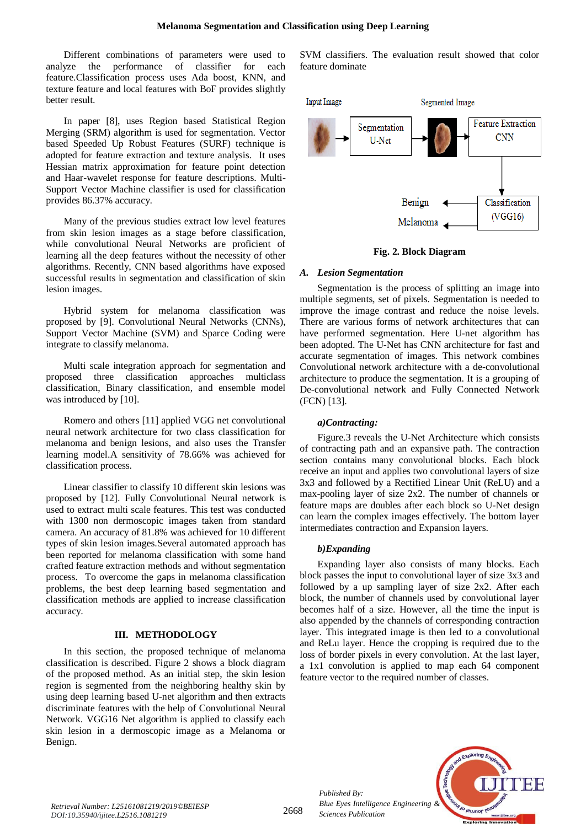Different combinations of parameters were used to analyze the performance of classifier for each feature.Classification process uses Ada boost, KNN, and texture feature and local features with BoF provides slightly better result.

In paper [8], uses Region based Statistical Region Merging (SRM) algorithm is used for segmentation. Vector based Speeded Up Robust Features (SURF) technique is adopted for feature extraction and texture analysis. It uses Hessian matrix approximation for feature point detection and Haar-wavelet response for feature descriptions. Multi-Support Vector Machine classifier is used for classification provides 86.37% accuracy.

Many of the previous studies extract low level features from skin lesion images as a stage before classification, while convolutional Neural Networks are proficient of learning all the deep features without the necessity of other algorithms. Recently, CNN based algorithms have exposed successful results in segmentation and classification of skin lesion images.

Hybrid system for melanoma classification was proposed by [9]. Convolutional Neural Networks (CNNs), Support Vector Machine (SVM) and Sparce Coding were integrate to classify melanoma.

Multi scale integration approach for segmentation and proposed three classification approaches multiclass classification, Binary classification, and ensemble model was introduced by [10].

Romero and others [11] applied VGG net convolutional neural network architecture for two class classification for melanoma and benign lesions, and also uses the Transfer learning model.A sensitivity of 78.66% was achieved for classification process.

Linear classifier to classify 10 different skin lesions was proposed by [12]. Fully Convolutional Neural network is used to extract multi scale features. This test was conducted with 1300 non dermoscopic images taken from standard camera. An accuracy of 81.8% was achieved for 10 different types of skin lesion images.Several automated approach has been reported for melanoma classification with some hand crafted feature extraction methods and without segmentation process. To overcome the gaps in melanoma classification problems, the best deep learning based segmentation and classification methods are applied to increase classification accuracy.

# **III. METHODOLOGY**

In this section, the proposed technique of melanoma classification is described. Figure 2 shows a block diagram of the proposed method. As an initial step, the skin lesion region is segmented from the neighboring healthy skin by using deep learning based U-net algorithm and then extracts discriminate features with the help of Convolutional Neural Network. VGG16 Net algorithm is applied to classify each skin lesion in a dermoscopic image as a Melanoma or Benign.

SVM classifiers. The evaluation result showed that color feature dominate



# **Fig. 2. Block Diagram**

# *A. Lesion Segmentation*

Segmentation is the process of splitting an image into multiple segments, set of pixels. Segmentation is needed to improve the image contrast and reduce the noise levels. There are various forms of network architectures that can have performed segmentation. Here U-net algorithm has been adopted. The U-Net has CNN architecture for fast and accurate segmentation of images. This network combines Convolutional network architecture with a de-convolutional architecture to produce the segmentation. It is a grouping of De-convolutional network and Fully Connected Network (FCN) [13].

# *a)Contracting:*

Figure.3 reveals the U-Net Architecture which consists of contracting path and an expansive path. The contraction section contains many convolutional blocks. Each block receive an input and applies two convolutional layers of size 3x3 and followed by a Rectified Linear Unit (ReLU) and a max-pooling layer of size 2x2. The number of channels or feature maps are doubles after each block so U-Net design can learn the complex images effectively. The bottom layer intermediates contraction and Expansion layers.

# *b)Expanding*

*Published By:*

*Sciences Publication* 

Expanding layer also consists of many blocks. Each block passes the input to convolutional layer of size 3x3 and followed by a up sampling layer of size 2x2. After each block, the number of channels used by convolutional layer becomes half of a size. However, all the time the input is also appended by the channels of corresponding contraction layer. This integrated image is then led to a convolutional and ReLu layer. Hence the cropping is required due to the loss of border pixels in every convolution. At the last layer, a 1x1 convolution is applied to map each 64 component feature vector to the required number of classes.

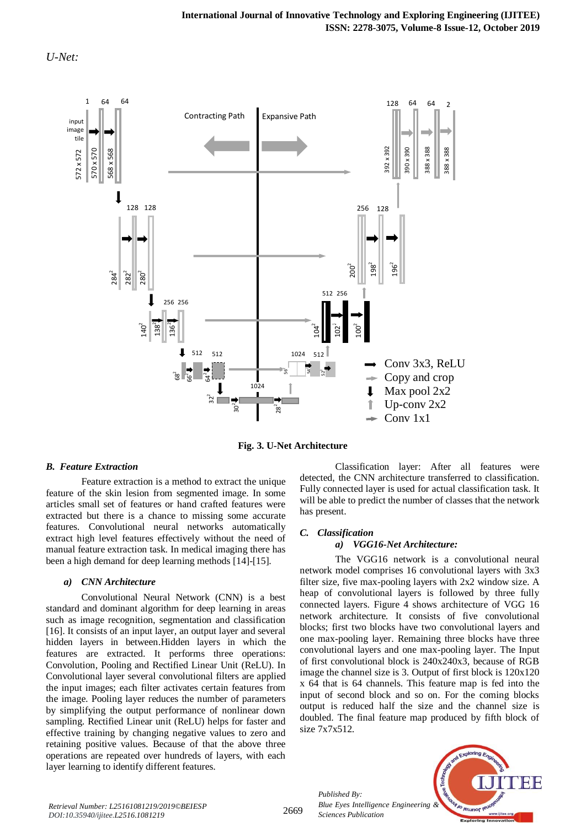



**Fig. 3. U-Net Architecture** 

#### *B. Feature Extraction*

Feature extraction is a method to extract the unique feature of the skin lesion from segmented image. In some articles small set of features or hand crafted features were extracted but there is a chance to missing some accurate features. Convolutional neural networks automatically extract high level features effectively without the need of manual feature extraction task. In medical imaging there has been a high demand for deep learning methods [14]-[15].

# *a) CNN Architecture*

Convolutional Neural Network (CNN) is a best standard and dominant algorithm for deep learning in areas such as image recognition, segmentation and classification [16]. It consists of an input layer, an output layer and several hidden layers in between.Hidden layers in which the features are extracted. It performs three operations: Convolution, Pooling and Rectified Linear Unit (ReLU). In Convolutional layer several convolutional filters are applied the input images; each filter activates certain features from the image. Pooling layer reduces the number of parameters by simplifying the output performance of nonlinear down sampling. Rectified Linear unit (ReLU) helps for faster and effective training by changing negative values to zero and retaining positive values. Because of that the above three operations are repeated over hundreds of layers, with each layer learning to identify different features.

Classification layer: After all features were detected, the CNN architecture transferred to classification. Fully connected layer is used for actual classification task. It will be able to predict the number of classes that the network has present.

#### *C. Classification*

#### *a) VGG16-Net Architecture:*

The VGG16 network is a convolutional neural network model comprises 16 convolutional layers with 3x3 filter size, five max-pooling layers with 2x2 window size. A heap of convolutional layers is followed by three fully connected layers. Figure 4 shows architecture of VGG 16 network architecture. It consists of five convolutional blocks; first two blocks have two convolutional layers and one max-pooling layer. Remaining three blocks have three convolutional layers and one max-pooling layer. The Input of first convolutional block is 240x240x3, because of RGB image the channel size is 3. Output of first block is 120x120 x 64 that is 64 channels. This feature map is fed into the input of second block and so on. For the coming blocks output is reduced half the size and the channel size is doubled. The final feature map produced by fifth block of size 7x7x512.

*Published By: Blue Eyes Intelligence Engineering & Sciences Publication* 

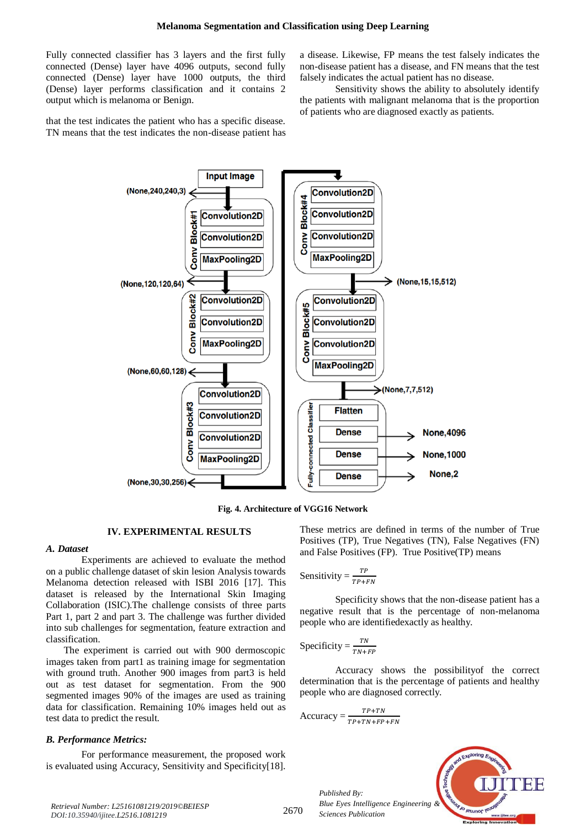Fully connected classifier has 3 layers and the first fully connected (Dense) layer have 4096 outputs, second fully connected (Dense) layer have 1000 outputs, the third (Dense) layer performs classification and it contains 2 output which is melanoma or Benign.

that the test indicates the patient who has a specific disease. TN means that the test indicates the non-disease patient has

a disease. Likewise, FP means the test falsely indicates the non-disease patient has a disease, and FN means that the test falsely indicates the actual patient has no disease.

Sensitivity shows the ability to absolutely identify the patients with malignant melanoma that is the proportion of patients who are diagnosed exactly as patients.



**Fig. 4. Architecture of VGG16 Network**

# **IV. EXPERIMENTAL RESULTS**

#### *A. Dataset*

Experiments are achieved to evaluate the method on a public challenge dataset of skin lesion Analysis towards Melanoma detection released with ISBI 2016 [17]. This dataset is released by the International Skin Imaging Collaboration (ISIC).The challenge consists of three parts Part 1, part 2 and part 3. The challenge was further divided into sub challenges for segmentation, feature extraction and classification.

The experiment is carried out with 900 dermoscopic images taken from part1 as training image for segmentation with ground truth. Another 900 images from part3 is held out as test dataset for segmentation. From the 900 segmented images 90% of the images are used as training data for classification. Remaining 10% images held out as test data to predict the result.

#### *B. Performance Metrics:*

For performance measurement, the proposed work is evaluated using Accuracy, Sensitivity and Specificity[18]. These metrics are defined in terms of the number of True Positives (TP), True Negatives (TN), False Negatives (FN) and False Positives (FP). True Positive(TP) means

Sensitivity = 
$$
\frac{TP}{TP+FN}
$$

Specificity shows that the non-disease patient has a negative result that is the percentage of non-melanoma people who are identifiedexactly as healthy.

$$
Specificity = \frac{TN}{TN + FP}
$$

Accuracy shows the possibilityof the correct determination that is the percentage of patients and healthy people who are diagnosed correctly.

$$
Accuracy = \frac{TP+TN}{TP+TN+FP+FN}
$$

*Published By: Blue Eyes Intelligence Engineering & Sciences Publication* 



*Retrieval Number: L25161081219/2019©BEIESP DOI:10.35940/ijitee.L2516.1081219*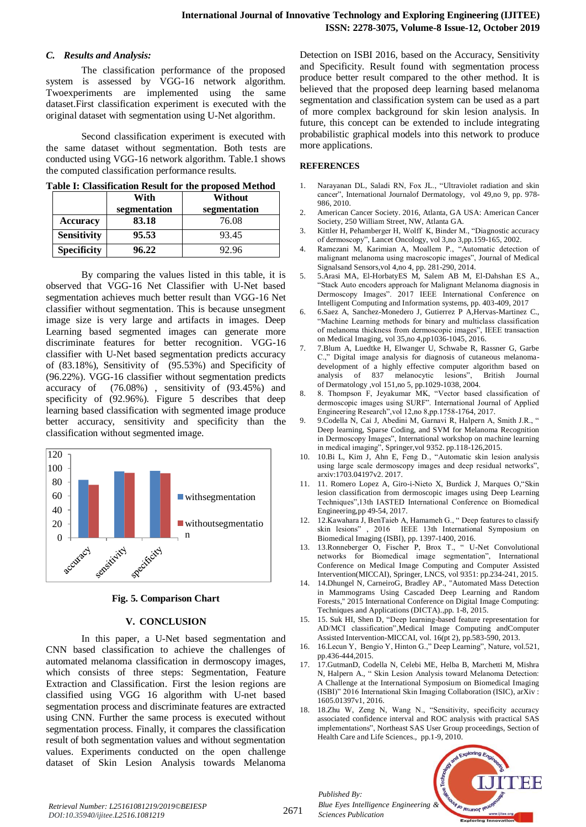# *C. Results and Analysis:*

The classification performance of the proposed system is assessed by VGG-16 network algorithm. Twoexperiments are implemented using the same dataset.First classification experiment is executed with the original dataset with segmentation using U-Net algorithm.

Second classification experiment is executed with the same dataset without segmentation. Both tests are conducted using VGG-16 network algorithm. Table.1 shows the computed classification performance results.

|  | Table I: Classification Result for the proposed Method |  |  |  |
|--|--------------------------------------------------------|--|--|--|
|--|--------------------------------------------------------|--|--|--|

|                    | With         | Without      |
|--------------------|--------------|--------------|
|                    | segmentation | segmentation |
| <b>Accuracy</b>    | 83.18        | 76.08        |
| <b>Sensitivity</b> | 95.53        | 93.45        |
| <b>Specificity</b> | 96.22        | 92.96        |

By comparing the values listed in this table, it is observed that VGG-16 Net Classifier with U-Net based segmentation achieves much better result than VGG-16 Net classifier without segmentation. This is because unsegment image size is very large and artifacts in images. Deep Learning based segmented images can generate more discriminate features for better recognition. VGG-16 classifier with U-Net based segmentation predicts accuracy of (83.18%), Sensitivity of (95.53%) and Specificity of (96.22%). VGG-16 classifier without segmentation predicts accuracy of (76.08%) , sensitivity of (93.45%) and specificity of (92.96%). Figure 5 describes that deep learning based classification with segmented image produce better accuracy, sensitivity and specificity than the classification without segmented image.





#### **V. CONCLUSION**

In this paper, a U-Net based segmentation and CNN based classification to achieve the challenges of automated melanoma classification in dermoscopy images, which consists of three steps: Segmentation, Feature Extraction and Classification. First the lesion regions are classified using VGG 16 algorithm with U-net based segmentation process and discriminate features are extracted using CNN. Further the same process is executed without segmentation process. Finally, it compares the classification result of both segmentation values and without segmentation values. Experiments conducted on the open challenge dataset of Skin Lesion Analysis towards Melanoma

Detection on ISBI 2016, based on the Accuracy, Sensitivity and Specificity. Result found with segmentation process produce better result compared to the other method. It is believed that the proposed deep learning based melanoma segmentation and classification system can be used as a part of more complex background for skin lesion analysis. In future, this concept can be extended to include integrating probabilistic graphical models into this network to produce more applications.

#### **REFERENCES**

- 1. Narayanan DL, Saladi RN, Fox JL., "Ultraviolet radiation and skin cancer", International Journalof Dermatology, vol 49,no 9, pp. 978- 986, 2010.
- 2. American Cancer Society. 2016, Atlanta, GA USA: American Cancer Society, 250 William Street, NW, Atlanta GA.
- 3. Kittler H, Pehamberger H, Wolff K, Binder M., "Diagnostic accuracy of dermoscopy", Lancet Oncology, vol 3,no 3,pp.159-165, 2002.
- 4. Ramezani M, Karimian A, Moallem P., "Automatic detection of malignant melanoma using macroscopic images", Journal of Medical Signalsand Sensors,vol 4,no 4, pp. 281-290, 2014.
- 5. 5.Arasi MA, El-HorbatyES M, Salem AB M, El-Dahshan ES A., "Stack Auto encoders approach for Malignant Melanoma diagnosis in Dermoscopy Images". 2017 IEEE International Conference on Intelligent Computing and Information systems, pp. 403-409, 2017
- 6. 6.Saez A, Sanchez-Monedero J, Gutierrez P A,Hervas-Martinez C., "Machine Learning methods for binary and multiclass classification of melanoma thickness from dermoscopic images", IEEE transaction on Medical Imaging, vol 35,no 4,pp1036-1045, 2016.
- 7. 7.Blum A, Luedtke H, Elwanger U, Schwabe R, Rassner G, Garbe C.," Digital image analysis for diagnosis of cutaneous melanomadevelopment of a highly effective computer algorithm based on analysis of 837 melanocytic lesions", British Journal analysis of 837 melanocytic of Dermatology ,vol 151,no 5, pp.1029-1038, 2004.
- 8. 8. Thompson F, Jeyakumar MK, "Vector based classification of dermoscopic images using SURF". International Journal of Applied Engineering Research",vol 12,no 8,pp.1758-1764, 2017.
- 9. 9.Codella N, Cai J, Abedini M, Garnavi R, Halpern A, Smith J.R., " Deep learning, Sparse Coding, and SVM for Melanoma Recognition in Dermoscopy Images", International workshop on machine learning in medical imaging", Springer,vol 9352. pp.118-126,2015.
- 10. 10.Bi L, Kim J, Ahn E, Feng D., "Automatic skin lesion analysis using large scale dermoscopy images and deep residual networks", arxiv:1703.04197v2. 2017.
- 11. 11. Romero Lopez A, Giro-i-Nieto X, Burdick J, Marques O,"Skin lesion classification from dermoscopic images using Deep Learning Techniques",13th IASTED International Conference on Biomedical Engineering,pp 49-54, 2017.
- 12. 12.Kawahara J, BenTaieb A, Hamameh G., " Deep features to classify skin lesions" , 2016 IEEE 13th International Symposium on Biomedical Imaging (ISBI), pp. 1397-1400, 2016.
- 13. 13.Ronneberger O, Fischer P, Brox T., " U-Net Convolutional networks for Biomedical image segmentation", International Conference on Medical Image Computing and Computer Assisted Intervention(MICCAI), Springer, LNCS, vol 9351: pp.234-241, 2015.
- 14. 14.Dhungel N, CarneiroG, Bradley AP., "Automated Mass Detection in Mammograms Using Cascaded Deep Learning and Random Forests," 2015 International Conference on Digital Image Computing: Techniques and Applications (DICTA).,pp. 1-8, 2015.
- 15. 15. Suk HI, Shen D, "Deep learning-based feature representation for AD/MCI classification",Medical Image Computing andComputer Assisted Intervention-MICCAI, vol. 16(pt 2), pp.583-590, 2013.
- 16. 16.Lecun Y, Bengio Y, Hinton G.," Deep Learning", Nature, vol.521, pp.436-444,2015.
- 17. 17.GutmanD, Codella N, Celebi ME, Helba B, Marchetti M, Mishra N, Halpern A., " Skin Lesion Analysis toward Melanoma Detection: A Challenge at the International Symposium on Biomedical Imaging (ISBI)" 2016 International Skin Imaging Collaboration (ISIC), arXiv : 1605.01397v1, 2016.
- 18. 18.Zhu W, Zeng N, Wang N., "Sensitivity, specificity accuracy associated confidence interval and ROC analysis with practical SAS implementations", Northeast SAS User Group proceedings, Section of Health Care and Life Sciences., pp.1-9, 2010.



*Retrieval Number: L25161081219/2019©BEIESP DOI:10.35940/ijitee.L2516.1081219*

*Published By:*

*Sciences Publication*